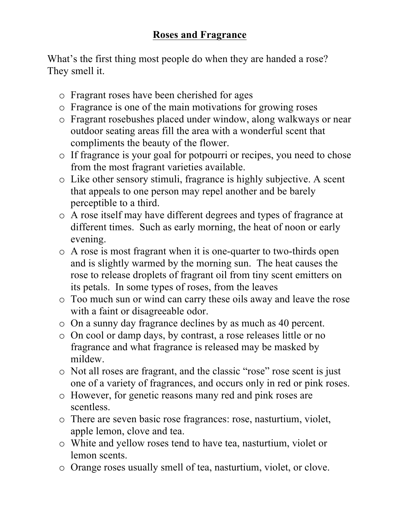## **Roses and Fragrance**

What's the first thing most people do when they are handed a rose? They smell it.

- o Fragrant roses have been cherished for ages
- o Fragrance is one of the main motivations for growing roses
- o Fragrant rosebushes placed under window, along walkways or near outdoor seating areas fill the area with a wonderful scent that compliments the beauty of the flower.
- o If fragrance is your goal for potpourri or recipes, you need to chose from the most fragrant varieties available.
- o Like other sensory stimuli, fragrance is highly subjective. A scent that appeals to one person may repel another and be barely perceptible to a third.
- o A rose itself may have different degrees and types of fragrance at different times. Such as early morning, the heat of noon or early evening.
- o A rose is most fragrant when it is one-quarter to two-thirds open and is slightly warmed by the morning sun. The heat causes the rose to release droplets of fragrant oil from tiny scent emitters on its petals. In some types of roses, from the leaves
- o Too much sun or wind can carry these oils away and leave the rose with a faint or disagreeable odor.
- o On a sunny day fragrance declines by as much as 40 percent.
- o On cool or damp days, by contrast, a rose releases little or no fragrance and what fragrance is released may be masked by mildew.
- o Not all roses are fragrant, and the classic "rose" rose scent is just one of a variety of fragrances, and occurs only in red or pink roses.
- o However, for genetic reasons many red and pink roses are scentless.
- o There are seven basic rose fragrances: rose, nasturtium, violet, apple lemon, clove and tea.
- o White and yellow roses tend to have tea, nasturtium, violet or lemon scents.
- o Orange roses usually smell of tea, nasturtium, violet, or clove.